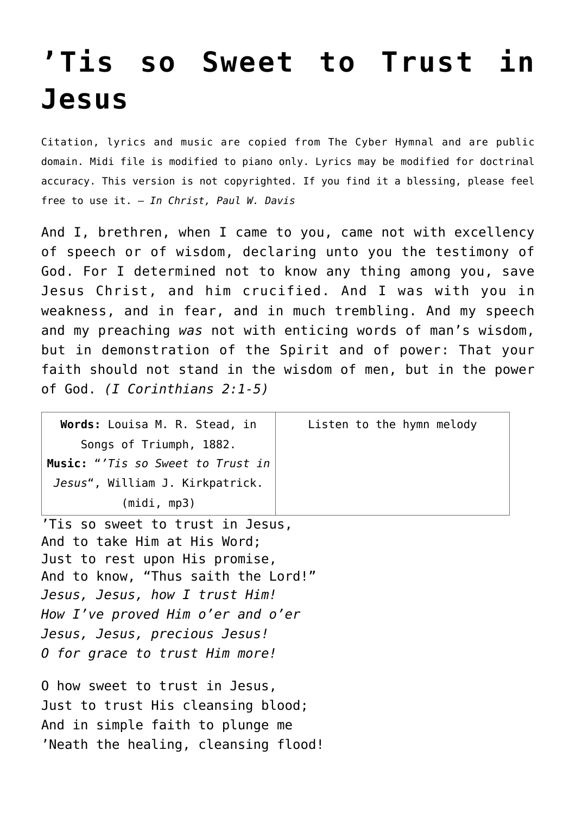## **['Tis so Sweet to Trust in](http://reproachofmen.org/hymns-and-music/%e2%80%99tis-so-sweet-to-trust-in-jesus/) [Jesus](http://reproachofmen.org/hymns-and-music/%e2%80%99tis-so-sweet-to-trust-in-jesus/)**

Citation, lyrics and music are copied from [The Cyber Hymnal](http://www.hymntime.com/tch/index.htm) and are public domain. Midi file is modified to piano only. Lyrics may be modified for doctrinal accuracy. This version is not copyrighted. If you find it a blessing, please feel free to use it. — *In Christ, Paul W. Davis*

And I, brethren, when I came to you, came not with excellency of speech or of wisdom, declaring unto you the testimony of God. For I determined not to know any thing among you, save Jesus Christ, and him crucified. And I was with you in weakness, and in fear, and in much trembling. And my speech and my preaching *was* not with enticing words of man's wisdom, but in demonstration of the Spirit and of power: That your faith should not stand in the wisdom of men, but in the power of God. *(I Corinthians 2:1-5)*

| Words: Louisa M. R. Stead, in     | Listen to the hymn melody |
|-----------------------------------|---------------------------|
| Songs of Triumph, 1882.           |                           |
| Music: "'Tis so Sweet to Trust in |                           |
| Jesus", William J. Kirkpatrick.   |                           |
| (midi, mp3)                       |                           |
| .                                 |                           |

'Tis so sweet to trust in Jesus, And to take Him at His Word; Just to rest upon His promise, And to know, "Thus saith the Lord!" *Jesus, Jesus, how I trust Him! How I've proved Him o'er and o'er Jesus, Jesus, precious Jesus! O for grace to trust Him more!*

O how sweet to trust in Jesus, Just to trust His cleansing blood; And in simple faith to plunge me 'Neath the healing, cleansing flood!